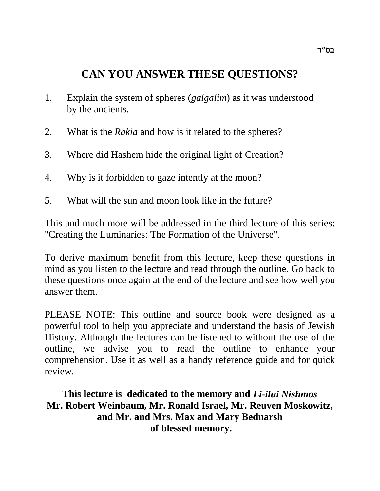# **CAN YOU ANSWER THESE QUESTIONS?**

- 1. Explain the system of spheres (*galgalim*) as it was understood by the ancients.
- 2. What is the *Rakia* and how is it related to the spheres?
- 3. Where did Hashem hide the original light of Creation?
- 4. Why is it forbidden to gaze intently at the moon?
- 5. What will the sun and moon look like in the future?

This and much more will be addressed in the third lecture of this series: "Creating the Luminaries: The Formation of the Universe".

To derive maximum benefit from this lecture, keep these questions in mind as you listen to the lecture and read through the outline. Go back to these questions once again at the end of the lecture and see how well you answer them.

PLEASE NOTE: This outline and source book were designed as a powerful tool to help you appreciate and understand the basis of Jewish History. Although the lectures can be listened to without the use of the outline, we advise you to read the outline to enhance your comprehension. Use it as well as a handy reference guide and for quick review.

**This lecture is dedicated to the memory and** *Li-ilui Nishmos* **Mr. Robert Weinbaum, Mr. Ronald Israel, Mr. Reuven Moskowitz, and Mr. and Mrs. Max and Mary Bednarsh of blessed memory.**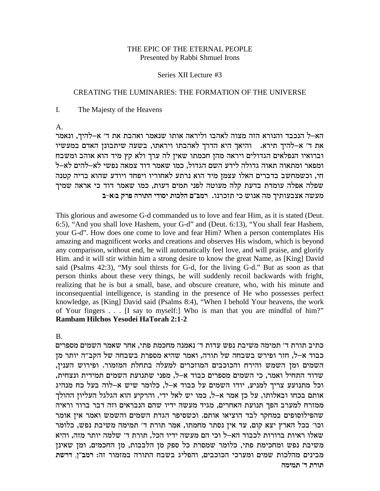### THE EPIC OF THE ETERNAL PEOPLE Presented by Rabbi Shmuel Irons

#### Series XII Lecture #3

#### **CREATING THE LUMINARIES: THE FORMATION OF THE UNIVERSE**

 $\mathbf{I}$ . The Majesty of the Heavens

 $\mathsf{A}$ .

הא–ל הנכבד והנורא הזה מצוה לאהבו וליראה אותו שנאמר ואהבת את ד׳ א–להיך, ונאמר את ד' א-להיך תירא. נהיאך היא הדרך לאהבתו ויראתו, בשעה שיתבונן האדם במעשיו וברואיו הנפלאים הגדולים ויראה מהן חכמתו שאין לה ערך ולא קץ מיד הוא אוהב ומשבח ומפאר ומתאוה תאוה גדולה לידע השם הגדול, כמו שאמר דוד צמאה נפשי לא–להים לא–ל חי, וכשמחשב בדברים האלו עצמן מיד הוא נרתע לאחוריו ויפחד ויודע שהוא בריה קטנה שפלה אפלה עומדת בדעת קלה מעוטה לפני תמים דעות, כמו שאמר דוד כי אראה שמיך מעשה אצבעותיך מה אנוש כי תזכרנו. רמב"ם הלכות יסודי התורה פרק ב:א-ב

This glorious and awesome G-d commanded us to love and fear Him, as it is stated (Deut. 6:5), "And you shall love Hashem, your G-d" and (Deut. 6:13), "You shall fear Hashem, your G-d". How does one come to love and fear Him? When a person contemplates His amazing and magnificent works and creations and observes His wisdom, which is beyond any comparison, without end, he will automatically feel love, and will praise, and glorify Him. and it will stir within him a strong desire to know the great Name, as [King] David said (Psalms 42:3), "My soul thirsts for G-d, for the living G-d." But as soon as that person thinks about these very things, he will suddenly recoil backwards with fright, realizing that he is but a small, base, and obscure creature, who, with his minute and inconsequential intelligence, is standing in the presence of He who possesses perfect knowledge, as [King] David said (Psalms 8:4), "When I behold Your heavens, the work of Your fingers . . . [I say to myself:] Who is man that you are mindful of him?" Rambam Hilchos Yesodei HaTorah 2:1-2

 $B<sub>1</sub>$ 

כתיב תורת ד׳ תמימה משיבת נפש עדות ד׳ נאמנה מחכמת פתי, אחר שאמר השמים מספרים כבוד א–ל, חזר ופירש בשבחה של תורה, ואמר שהיא מספרת בשבחה של הקב״ה יותר מן השמים ומן השמש והירח והכוכבים המוזכרים למעלה בתחלת המזמור. ופירוש הענין, שדוד התחיל ואמר, כי השמים מספרים כבוד א–ל, מפני שתנועת השמים תמידית ונצחית, וכל מתנועע צריך למניע, יודו השמים על כבוד א-ל, כלומר שיש א-לוה בעל כח מנהיג אותם בכחו ובאלותו, על כן אמר א–ל, כמו יש לאל ידי. והרקיע הוא הגלגל העליון ההולך ממזרח למערב הפך תנועת האחרים, מגיד מעשה ידיו שהם הנבראים וזה דבר ברור וראיה שהפילוסופים במחקר לבד הוציאו אותם. וכשסיפר הגדת השמים והשמש ואמר אין אומר וכו' בכל הארץ יצא קום, עד אין נסתר מחמתו, אמר תורת ד' תמימה משיבת נפש, כלומר שאלו ראיות ברורות לכבוד הא–ל וכי הם מעשה ידיו הכל, תורת ד׳ שלמה יותר מזה, והיא משיבת נפש ומחכימת פתי, כלומר שמסרת כל ספק מן הלבבות, מן החכמים, ומן שאינן מבינים מהלכות שמים ומערכי הכוכבים, והפליג בשבח התורה במזמור זה: רמב"ן, דרשת תורת ד' תמימה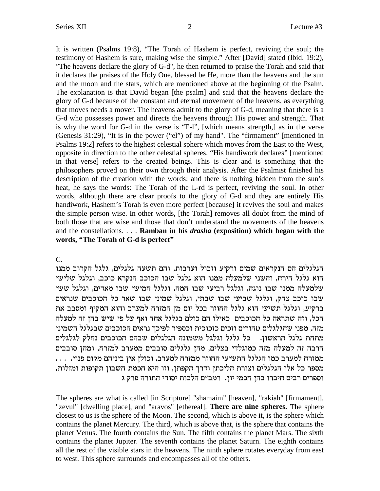It is written (Psalms 19:8), "The Torah of Hashem is perfect, reviving the soul; the testimony of Hashem is sure, making wise the simple." After [David] stated (Ibid. 19:2), "The heavens declare the glory of G-d", he then returned to praise the Torah and said that it declares the praises of the Holy One, blessed be He, more than the heavens and the sun and the moon and the stars, which are mentioned above at the beginning of the Psalm. The explanation is that David began [the psalm] and said that the heavens declare the glory of G-d because of the constant and eternal movement of the heavens, as everything that moves needs a mover. The heavens admit to the glory of G-d, meaning that there is a G-d who possesses power and directs the heavens through His power and strength. That is why the word for G-d in the verse is "E-l", [which means strength,] as in the verse (Genesis 31:29), "It is in the power ("el") of my hand". The "firmament" [mentioned in Psalms 19:2] refers to the highest celestial sphere which moves from the East to the West, opposite in direction to the other celestial spheres. "His handiwork declares" [mentioned in that verse] refers to the created beings. This is clear and is something that the philosophers proved on their own through their analysis. After the Psalmist finished his description of the creation with the words: and there is nothing hidden from the sun's heat, he says the words: The Torah of the L-rd is perfect, reviving the soul. In other words, although there are clear proofs to the glory of G-d and they are entirely His handiwork, Hashem's Torah is even more perfect [because] it revives the soul and makes the simple person wise. In other words, [the Torah] removes all doubt from the mind of both those that are wise and those that don't understand the movements of the heavens and the constellations. . . . **Ramban in his** *drasha* **(exposition) which began with the words, "The Torah of G-d is perfect"**

C.

הגלגלים הם הנקראים שמים ורקיע וזבול וערבות, והם תשעה גלגלים, גלגל הקרוב ממנו הוא גלגל הירח, והשני שלמעלה ממנו הוא גלגל שבו הכוכב הנקרא כוכב, וגלגל שלישי שלמעלה ממנו שבו נוגה, וגלגל רביעי שבו חמה, וגלגל חמישי שבו מאדים, וגלגל ששי שבו כוכב צדק, וגלגל שביעי שבו שבתי, וגלגל שמיני שבו שאר כל הכוכבים שנראים ברקיע, וגלגל תשיעי הוא גלגל החוזר בכל יום מן המזרח למערב והוא המקיף ומסבב את הכל, וזה שתראה כל הכוכבים כאילו הם כולם בגלגל אחד ואף על פי שיש בהן זה למעלה מזה, מפני שהגלגלים טהורים וזכים כזכוכית וכספיר לפיכך נראים הכוכבים שבגלגל השמיני מתחת גלגל הראשון. ) כל גלגל וגלגל משמונה הגלגלים שבהם הכוכבים נחלק לגלגלים הרבה זה למעלה מזה כמוגלדי בצלים, מהז גלגלים סובבים ממערב למזרח, ומהז סובבים . . . .iept mewn mdipia oi` oleke ,axrnl gxfnn xfegd iriyzd lblbd enk axrnl gxfnn מספר כל אלו הגלגלים וצורת הליכתן ודרך הקפתן, וזו היא חכמת חשבון תקופות ומזלות, וספרים רבים חיברו בהן חכמי יון. רמב״ם הלכות יסודי התורה פרק ג

The spheres are what is called [in Scripture] "shamaim" [heaven], "rakiah" [firmament], "zevul" [dwelling place], and "aravos" [ethereal]. **There are nine spheres.** The sphere closest to us is the sphere of the Moon. The second, which is above it, is the sphere which contains the planet Mercury. The third, which is above that, is the sphere that contains the planet Venus. The fourth contains the Sun. The fifth contains the planet Mars. The sixth contains the planet Jupiter. The seventh contains the planet Saturn. The eighth contains all the rest of the visible stars in the heavens. The ninth sphere rotates everyday from east to west. This sphere surrounds and encompasses all of the others.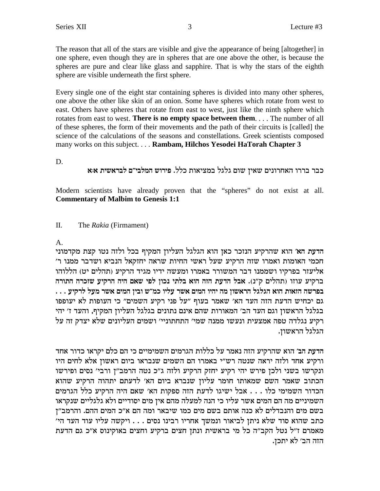The reason that all of the stars are visible and give the appearance of being [altogether] in one sphere, even though they are in spheres that are one above the other, is because the spheres are pure and clear like glass and sapphire. That is why the stars of the eighth sphere are visible underneath the first sphere.

Every single one of the eight star containing spheres is divided into many other spheres, one above the other like skin of an onion. Some have spheres which rotate from west to east. Others have spheres that rotate from east to west, just like the ninth sphere which rotates from east to west. There is no empty space between them. . . . The number of all of these spheres, the form of their movements and the path of their circuits is [called] the science of the calculations of the seasons and constellations. Greek scientists composed many works on this subject.... Rambam, Hilchos Yesodei HaTorah Chapter 3

D.

# כבר בררו האחרונים שאין שום גלגל במציאות כלל. פירוש המלבי״ם לבראשית א:א

Modern scientists have already proven that the "spheres" do not exist at all. **Commentary of Malbim to Genesis 1:1** 

#### $\Pi$ . The Rakia (Firmament)

# $\mathbf{A}$ .

הדעת הא׳ הוא שהרקיע הנזכר כאן הוא הגלגל העליון המקיף בכל ולזה נטו קצת מקדמוני חכמי האומות ואמרו שזה הרקיע שעל ראשי החיות שראה יחזקאל הנביא ושדבר ממנו ר' אליעזר בפרקיו ושממנו דבר המשורר באמרו ומעשה ידיו מגיד הרקיע (תהלים יט) הללוהו ברקיע עוזו (תהלים ק"נ). אבל הדעת הזה הוא בלתי נכון לפי שאם היה הרקיע שזכרה התורה בפרשה הזאות הוא הגלגל הראשון מה יהיו המים אשר עליו כמ״ש ובין המים אשר מעל לרקיע . . . גם יכחיש הדעת הזה העד הא׳ שאמר בעוף "על פני רקיע השמים" כי העופות לא יעופפו בגלגל הראשון וגם העד הב׳ המאורות שהם אינם נתונים בגלגל העליון המקיף, והעד ז׳ יהי רקיע נגלדה טפה אמצעית ונעשו ממנה שמי׳ התחתוניי׳ ושמים העליונים שלא יצדק זה על הגלגל הראשוז.

הדעת הב׳ הוא שהרקיע הזה נאמר על כללות הגרמים השמימיים כי הם כלם יקראו כדור אחד ורקיע אחד ולזה יראה שנטה רש"י באמרו הם השמים שנבראו ביום ראשון אלא לחים היו ונקרשו בשני ולכן פירש יהי רקיע יחזק הרקיע ולזה ג"כ נטה הרמב"ן ורבי' נסים ופירשו הכתוב שאמר השם שמאותו חומר עליון שנברא ביום הא' לדעתם יתהוה הרקיע שהוא הכדור השמימי כלו . . . אבל ישיגו לדעת הזה ספקות הא׳ שאם היה הרקיע כלל הגרמים השמיניים מה הם המים אשר עליו כי הנה למעלה מהם אין מים יסודיים ולא גלגליים שנקראו בשם מים והנבדלים לא כנה אותם בשם מים כמו שיבאר ומה הם א״כ המים ההם. והרמב״ן כתב שהוא סוד שלא ניתן לביאור ונמשך אחריו רבינו נסים . . . ויקשה עליו עוד העד הי' מאמרם ז"ל נטל הקב"ה כל מי בראשית ונתן חצים ברקיע וחצים באוקינוס א"כ גם הדעת הזה הב׳ לא יתכן.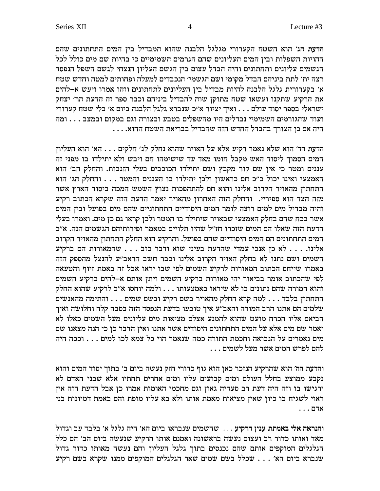הדעת הג' הוא השטח הקערורי מגלגל הלבנה שהוא המבדיל בין המים התחתונים שהם ההויות השפלות ובין המים העליונים שהם הגרמים השמימיים כי בהיות שם מים כולל לכל הגשמים עליונים ותחתונים והיה הבדל עצום בין הגשם העליון הנצחי לגשם השפל הנפסד רצה ית׳ לתת ביניהם הבדל מקומי ושם הגשמי׳ הנכבדים למעלה ופחותים למטה וחדש שטח  $\sim$  א׳ בקערורית גלגל הלבנה להיות מבדיל בין העליונים לתחתונים וזהו אמרו ויעש א–להים את הרקיע שתקנו ועשאו שטח מתוקן שוה להבדיל ביניהם וכבר ספר זה הדעת הר' יצחק  $\stackrel{\cdot}{\cdot}$ ישראלי בספר יסוד עולם . . . ואיך יציור א"כ שנברא גלגל הלבנה ביום א' בלי שטח קערורי ועוד שהגורמים השמימיי נבדלים היו מהשפלים בטבע ובצורה וגם במקום ובמצב . . . ומה  $\overline{\ldots}$ . . . .היה אם כן הצורך בהבדל החדש הזה שהבדיל בבריאת השטח ההוא

הדעת הד' הוא שלא נאמר רקיע אלא על האויר שהוא נחלק לג' חלקים . . . הא' הוא העליון המים הסמוך ליסוד האש מקבל חומו מאד עד שישימהו חם ויבש ולא יתילדו בו מפני זה עננים ומטר כי אין שם קור מקבץ ושם יתילדו הכוכבים בעלי הזנבות. והחלק הב' הוא האמצעי ואינו יכול כ"כ חם כראשון ולכן יתילדו בו העננים והמטר . . . והחלק הג' הוא התחתון מהאויר הקרוב אלינו והוא חם להתהפכות נצוץ השמש המכה ביסוד הארץ אשר מזה הצד הוא ספיריי. והחלק הזה האחרון מהאויר יאמר הדעת הזה שקרא הכתוב רקיע והיה מבדיל מים למים רוצה לומר המים היסודיים התחתוניים שהם מים בפועל ובין המים אשר בכח שהם בחלק האמצעי שבאויר שיתילד בו המטר ולכן קראו גם כן מים. ואמרו בעלי הדעת הזה שאלו הם המים שזכרו חז"ל שהיו תלויים במאמר ופירותיהם הגשמים הנה. א"כ המים התחתונים הם המים היסודיים שהם בפועל. והרקיע הוא החלק התחתון מהאויר הקרוב האלינו. . . . לא כן אנכי עמדי שהדעת בעיני שוא ודבר כזב . . . שהמאורות הם ברקיע השמים ושם נתנו לא בחלק האויר הקרוב אלינו וכבר חשב הראב"ע להנצל מהספק הזה באמרו שייחס הכתוב המאורות לרקיע השמים לפי שבו יראו אבל זה באמת זיוף והטעאה לפי שהכתוב אומר בביאור יהי מאורות ברקיע השמים ויתן אותם א-להים ברקיע השמים והוא המורה שהם נתונים בו לא שיראו באמצעותו . . . ולמה יוחסו א״כ לרקיע שהוא החלק התחתון בלבד . . . למה קרא החלק מהאויר בשם רקיע ובשם שמים . . . והתימה מהאנשים שלמים הם אתנו הרב המורה והאב״ע איך טובעו בדעת הנפסד הזה בסבה קלה וחלושה ואיך  $\omega$ h הביאם אליו הכרח מועט שהוא להמנע אצלם מציאות מים עליונים מעל השמים כאלו לא יאמר שם מים אלא על המים התחתונים היסודים אשר אתנו ואין הדבר כן כי הנה מצאנו שם מים נאמרים על הנבואה וחכמת התורה כמה שנאמר הוי כל צמא לכו למים . . . וככה היה  $\ldots$  להם לפרש המים אשר מעל לשמים

והדעת הה' הוא שהרקיע הנזכר כאן הוא גוף כדורי חזק נעשה ביום ב' בתוך יסוד המים והוא נקבע ממוצע בחלל העולם ומים קבועים עליו ומים אחרים תחתיו אלא שבני האדם לא ירגישו בו וזה היה דעת רב סעדיה גאון וגם מחכמי האומות אמרו כן אבל הדעת הזה אין יאוי לשגיח בו כיון שאין מציאות מאמת אותו ולא בא עליו מופת והם באמת דמיונות בני  $\ldots$  אדם

והנראה אלי באמתת ענין הרקיע . . . שהשמים שנבראו ביום הא' היה גלגל א' בלבד עב וגדול מאד ואותו כדור רב ועצום נעשה בראשונה ואמנם אותו הרקיע שנעשה ביום הב׳ הם כלל הגלגלים המוקפים אותם שהם נכנסים בתוך גלגל העליון והם נעשה מאותו כדור גדול שנברא ביום הא' . . . שכלל בשם שמים שאר הגלגלים המוקפים ממנו שקרא בשם רקיע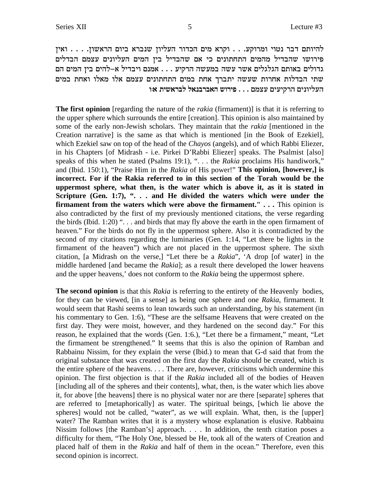להיותם דבר נטוי ומרוקע. . . וקרא מים הכדור העליון שנברא ביום הראשון. . . . ואין פירושו שהבדיל מהמים התחתונים כי אם שהבדיל בין המים העליונים עצמם הבדלים גדולים באותם הגלגלים אשר עשה במעשה הרקיע . . . אמנם ויבדיל א–להים בין המים הם שתי הבדלות אחרות שעשה יתברך אחת במים התחתונים עצמם אלו מאלו ואחת במים **העליונים הרקיעים עצמם . . . פירוש האברבנאל לבראשית או** 

**The first opinion** [regarding the nature of the *rakia* (firmament)] is that it is referring to the upper sphere which surrounds the entire [creation]. This opinion is also maintained by some of the early non-Jewish scholars. They maintain that the *rakia* [mentioned in the Creation narrative] is the same as that which is mentioned [in the Book of Ezekiel], which Ezekiel saw on top of the head of the *Chayos* (angels), and of which Rabbi Eliezer, in his Chapters [of Midrash - i.e. Pirkei D'Rabbi Eliezer] speaks. The Psalmist [also] speaks of this when he stated (Psalms 19:1), ". . . the *Rakia* proclaims His handiwork," and (Ibid. 150:1), "Praise Him in the *Rakia* of His power!"**This opinion, [however,] is incorrect. For if the Rakia referred to in this section of the Torah would be the uppermost sphere, what then, is the water which is above it, as it is stated in Scripture (Gen. 1:7), ". . . and He divided the waters which were under the firmament from the waters which were above the firmament."...** This opinion is also contradicted by the first of my previously mentioned citations, the verse regarding the birds (Ibid.  $1:20$ ) "... and birds that may fly above the earth in the open firmament of heaven." For the birds do not fly in the uppermost sphere. Also it is contradicted by the second of my citations regarding the luminaries (Gen. 1:14, "Let there be lights in the firmament of the heaven") which are not placed in the uppermost sphere. The sixth citation, [a Midrash on the verse,] "Let there be a *Rakia*", 'A drop [of water] in the middle hardened [and became the *Rakia*]; as a result there developed the lower heavens and the upper heavens,' does not conform to the *Rakia* being the uppermost sphere.

**The second opinion** is that this *Rakia* is referring to the entirety of the Heavenly bodies, for they can be viewed, [in a sense] as being one sphere and one *Rakia*, firmament. It would seem that Rashi seems to lean towards such an understanding, by his statement (in his commentary to Gen. 1:6), "These are the selfsame Heavens that were created on the first day. They were moist, however, and they hardened on the second day." For this reason, he explained that the words (Gen. 1:6.), "Let there be a firmament," meant, "Let the firmament be strengthened." It seems that this is also the opinion of Ramban and Rabbainu Nissim, for they explain the verse (Ibid.) to mean that G-d said that from the original substance that was created on the first day the *Rakia* should be created, which is the entire sphere of the heavens. . . . There are, however, criticisms which undermine this opinion. The first objection is that if the *Rakia* included all of the bodies of Heaven [including all of the spheres and their contents], what, then, is the water which lies above it, for above [the heavens] there is no physical water nor are there [separate] spheres that are referred to [metaphorically] as water. The spiritual beings, [which lie above the spheres] would not be called, "water", as we will explain. What, then, is the [upper] water? The Ramban writes that it is a mystery whose explanation is elusive. Rabbainu Nissim follows [the Ramban's] approach. . . . In addition, the tenth citation poses a difficulty for them, "The Holy One, blessed be He, took all of the waters of Creation and placed half of them in the *Rakia* and half of them in the ocean." Therefore, even this second opinion is incorrect.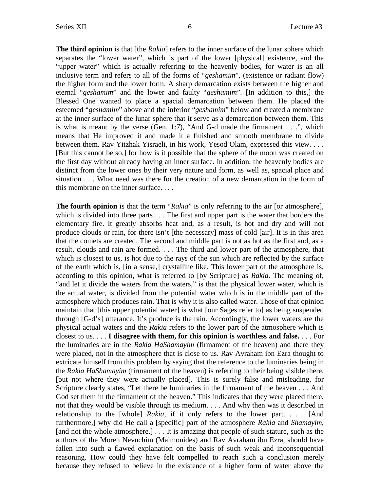**The third opinion** is that [the *Rakia*] refers to the inner surface of the lunar sphere which separates the "lower water", which is part of the lower [physical] existence, and the "upper water" which is actually referring to the heavenly bodies, for water is an all inclusive term and refers to all of the forms of "*geshamim*", (existence or radiant flow) the higher form and the lower form. A sharp demarcation exists between the higher and eternal "*geshamim*" and the lower and faulty "*geshamim*". [In addition to this,] the Blessed One wanted to place a spacial demarcation between them. He placed the esteemed "*geshamim*" above and the inferior "*geshamim*" below and created a membrane at the inner surface of the lunar sphere that it serve as a demarcation between them. This is what is meant by the verse (Gen. 1:7), "And G-d made the firmament . . .", which means that He improved it and made it a finished and smooth membrane to divide between them. Rav Yitzhak Yisraeli, in his work, Yesod Olam, expressed this view. . . . [But this cannot be so,] for how is it possible that the sphere of the moon was created on the first day without already having an inner surface. In addition, the heavenly bodies are distinct from the lower ones by their very nature and form, as well as, spacial place and situation . . . What need was there for the creation of a new demarcation in the form of this membrane on the inner surface. . . .

**The fourth opinion** is that the term "*Rakia*" is only referring to the air [or atmosphere], which is divided into three parts . . . The first and upper part is the water that borders the elementary fire. It greatly absorbs heat and, as a result, is hot and dry and will not produce clouds or rain, for there isn't [the necessary] mass of cold [air]. It is in this area that the comets are created. The second and middle part is not as hot as the first and, as a result, clouds and rain are formed. . . . The third and lower part of the atmosphere, that which is closest to us, is hot due to the rays of the sun which are reflected by the surface of the earth which is, [in a sense,] crystalline like. This lower part of the atmosphere is, according to this opinion, what is referred to [by Scripture] as *Rakia*. The meaning of, "and let it divide the waters from the waters," is that the physical lower water, which is the actual water, is divided from the potential water which is in the middle part of the atmosphere which produces rain. That is why it is also called water. Those of that opinion maintain that [this upper potential water] is what [our Sages refer to] as being suspended through [G-d's] utterance. It's produce is the rain. Accordingly, the lower waters are the physical actual waters and the *Rakia* refers to the lower part of the atmosphere which is closest to us. . . . **I disagree with them, for this opinion is worthless and false.** . . . For the luminaries are in the *Rakia HaShamayim* (firmament of the heaven) and there they were placed, not in the atmosphere that is close to us. Rav Avraham ibn Ezra thought to extricate himself from this problem by saying that the reference to the luminaries being in the *Rakia HaShamayim* (firmament of the heaven) is referring to their being visible there, [but not where they were actually placed]. This is surely false and misleading, for Scripture clearly states, "Let there be luminaries in the firmament of the heaven . . . And God set them in the firmament of the heaven." This indicates that they were placed there, not that they would be visible through its medium. . . . And why then was it described in relationship to the [whole] *Rakia*, if it only refers to the lower part. . . . [And furthermore,] why did He call a [specific] part of the atmosphere *Rakia* and *Shamayim*, [and not the whole atmosphere.] . . . It is amazing that people of such stature, such as the authors of the Moreh Nevuchim (Maimonides) and Rav Avraham ibn Ezra, should have fallen into such a flawed explanation on the basis of such weak and inconsequential reasoning. How could they have felt compelled to reach such a conclusion merely because they refused to believe in the existence of a higher form of water above the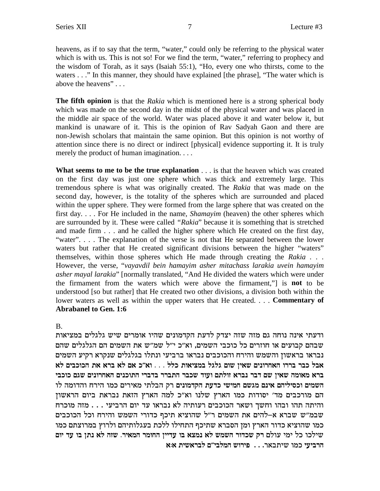heavens, as if to say that the term, "water," could only be referring to the physical water which is with us. This is not so! For we find the term, "water," referring to prophecy and the wisdom of Torah, as it says (Isaiah 55:1), "Ho, every one who thirsts, come to the waters . . ." In this manner, they should have explained [the phrase], "The water which is above the heavens" . . .

**The fifth opinion** is that the *Rakia* which is mentioned here is a strong spherical body which was made on the second day in the midst of the physical water and was placed in the middle air space of the world. Water was placed above it and water below it, but mankind is unaware of it. This is the opinion of Rav Sadyah Gaon and there are non-Jewish scholars that maintain the same opinion. But this opinion is not worthy of attention since there is no direct or indirect [physical] evidence supporting it. It is truly merely the product of human imagination. . . .

**What seems to me to be the true explanation** . . . is that the heaven which was created on the first day was just one sphere which was thick and extremely large. This tremendous sphere is what was originally created. The *Rakia* that was made on the second day, however, is the totality of the spheres which are surrounded and placed within the upper sphere. They were formed from the large sphere that was created on the first day. . . . For He included in the name, *Shamayim* (heaven) the other spheres which are surrounded by it. These were called *"Rakia*" because it is something that is stretched and made firm . . . and he called the higher sphere which He created on the first day, "water". . . . The explanation of the verse is not that He separated between the lower waters but rather that He created significant divisions between the higher "waters" themselves, within those spheres which He made through creating the *Rakia . . .* However, the verse, "*vayavdil bein hamayim asher mitachass larakia uvein hamayim asher mayal larakia*" [normally translated, "And He divided the waters which were under the firmament from the waters which were above the firmament,"] is **not** to be understood [so but rather] that He created two other divisions, a division both within the lower waters as well as within the upper waters that He created. . . . **Commentary of Abrabanel to Gen. 1:6**

B.

ודעתי אינה נוחה גם מזה שזה יצדק לדעת הקדמונים שהיו אומרים שיש גלגלים במציאות שבהם קבועים או חוזרים כל כוכבי השמים, וא"כ י"ל שמ"ש את השמים הם הגלגלים שהם נבראו בראשון והשמש והירח והכוכבים נבראו ברביעי ונתלו בגלגלים שנקרא רקיע השמים **`l miakekd z` `xa `l m` k"`e . . . llk ze`ivna lblb mey oi`y mipexg`d exxa xak la` iakek mby mipexg`d mipkezd ixaca xxazd xaky cere mzlef `xap xac my oi`y dne`n `xa** el dnecde gxid enk mixi`n izlad wx **mipencwd zrck iying mybn mpi` mdiliqke minyd** הם מורכבים מד' יסודות כמו הארץ שלנו וא"כ למה הארץ הזאת נבראת ביום הראשון והיתה תהו ובהו וחשך ושאר הכוכבים רעותיה לא נבראו עד יום הרביעי . . . מזה מוכרח שבמ"ש שברא א-להים את השמים ר"ל שהוציא תיכף כדורי השמש והירח וכל הכוכבים כמו שהוציא כדור הארץ ומן הסברא שתיכף התחילו ללכת בעגלותיהם ולרוץ במרוצתם כמו **mei cr ea ozp `l dfy .xi`nd xnegd oiicr ea `vnp `l ynyd xecky wx** mler ini lk ekliy **`:` ziy`xal m"ialnd yexit** . . .x`aziy enk **iriaxd**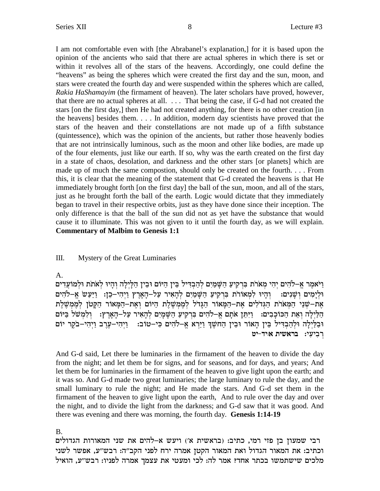I am not comfortable even with [the Abrabanel's explanation,] for it is based upon the opinion of the ancients who said that there are actual spheres in which there is set or within it revolves all of the stars of the heavens. Accordingly, one could define the "heavens" as being the spheres which were created the first day and the sun, moon, and stars were created the fourth day and were suspended within the spheres which are called, *Rakia HaShamayim* (the firmament of heaven). The later scholars have proved, however, that there are no actual spheres at all. . . . That being the case, if G-d had not created the stars [on the first day,] then He had not created anything, for there is no other creation [in the heavens] besides them. . . . In addition, modern day scientists have proved that the stars of the heaven and their constellations are not made up of a fifth substance (quintessence), which was the opinion of the ancients, but rather those heavenly bodies that are not intrinsically luminous, such as the moon and other like bodies, are made up of the four elements, just like our earth. If so, why was the earth created on the first day in a state of chaos, desolation, and darkness and the other stars [or planets] which are made up of much the same compostion, should only be created on the fourth. . . . From this, it is clear that the meaning of the statement that G-d created the heavens is that He immediately brought forth [on the first day] the ball of the sun, moon, and all of the stars, just as he brought forth the ball of the earth. Logic would dictate that they immediately began to travel in their respective orbits, just as they have done since their inception. The only difference is that the ball of the sun did not as yet have the substance that would cause it to illuminate. This was not given to it until the fourth day, as we will explain. **Commentary of Malbim to Genesis 1:1**

### III. Mystery of the Great Luminaries

#### A.

 $\epsilon$ וַיֹּאמֵר אֱ–לֹהִים יִהִי מְאֹרֹת בְּרְקִיעַ הַשָּׁמַיִם לְהַבְדִּיל בֵּין הַיּוֹם וּבֵין הַלַיְלַה וְהַיוּ לְאֹתֹת וּלְמוֹעֵדִים  $\gamma$  וּלְיָמִים וְשָׁנִים: וְהָיוּ לִמְאוֹרֹת בִּרְקִיעַ הַשָּׁמַיִם לְהָאִיר עַל–הָאָרֶץ וַיְהִי–כֵן: וַיַּעַש אֶ–לֹהִים אַת−שִׁנֵי הַמַּארת הַגִּדלִים אַת−הַמַּאוֹר הַגֵּדל לְמֵמְשֶׁלֵת הַיּוֹם וְאֵת−הַמַּאוֹר הַקַּטֹן לְמֵמְשֶׁלֵת הַלַּיְלָה וְאֶת הַכּוֹכָבִים: [יִתֵּן אֹתָם אֵ–לֹהִים בְּרְקִיעַ הַשַּׁמַיִם לְהָאִיר עַל–הָאַרֶץ: [וְלְמִשׁל וּבַלַיִלַה וּלְהַבְדִּיל בֵּין הָאוֹר וּבֵין הַחֹשֵׁךְ וַיַּרָא אֵ−לֹהִים כִּי−טוֹב: [יִהִי−עֲרֵב וַיִהִי−בֹקֵר יוֹם **רִבְיעְי: בראשית א**ויד-יט

And G-d said, Let there be luminaries in the firmament of the heaven to divide the day from the night; and let them be for signs, and for seasons, and for days, and years; And let them be for luminaries in the firmament of the heaven to give light upon the earth; and it was so. And G-d made two great luminaries; the large luminary to rule the day, and the small luminary to rule the night; and He made the stars. And G-d set them in the firmament of the heaven to give light upon the earth, And to rule over the day and over the night, and to divide the light from the darkness; and G-d saw that it was good. And there was evening and there was morning, the fourth day. **Genesis 1:14-19**

B.

רבי שמעון בן פזי רמי, כתיב: (בראשית א') ויעש א-להים את שני המאורות הגדולים וכתיב: את המאור הגדול ואת המאור הקטן אמרה ירח לפני הקב"ה: רבש"ע, אפשר לשני מלכים שישתמשו בכתר אחד? אמר לה: לכי ומעטי את עצמך אמרה לפניו: רבש״ע, הואיל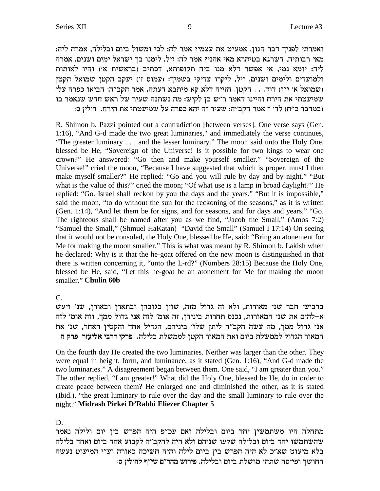:ואמרתי לפניך דבר הגון, אמעיט את עצמי? אמר לה: לכי ומשול ביום ובלילה, אמרה ליה מאי רבותיה, דשרגא בטיהרא מאי אהני? אמר לה: זיל, לימנו בך ישראל ימים ושנים, אמרה ליה: יומא נמי, אי אפשר דלא מנו ביה תקופותא, דכתיב (בראשית א׳) והיו לאותות ולמועדים ולימים ושנים, זיל, ליקרו צדיקי בשמיך: (עמוס ז') יעקב הקטן שמואל הקטן ישמואל א׳ י"ז) דוד. . . הקטן. חזייה דלא קא מיתבא דעתה, אמר הקב"ה: הביאו כפרה עלי (f"i ו שמיעטתי את הירח והיינו דאמר ר"ש בן לקיש: מה נשתנה שעיר של ראש חדש שנאמר בו : במדבר כ"ח) לד' <sup>–</sup> אמר הקב"ה: שעיר זה יהא כפרה על שמיעטתי את הירח. חוליז ס

R. Shimon b. Pazzi pointed out a contradiction [between verses]. One verse says (Gen. 1:16), "And G-d made the two great luminaries," and immediately the verse continues, "The greater luminary . . . and the lesser luminary." The moon said unto the Holy One, blessed be He, "Sovereign of the Universe! Is it possible for two kings to wear one crown?" He answered: "Go then and make yourself smaller." "Sovereign of the Universe!" cried the moon, "Because I have suggested that which is proper, must I then make myself smaller?" He replied: "Go and you will rule by day and by night." "But what is the value of this?" cried the moon; "Of what use is a lamp in broad daylight?" He replied: "Go. Israel shall reckon by you the days and the years." "But it is impossible," said the moon, "to do without the sun for the reckoning of the seasons," as it is written (Gen. 1:14), "And let them be for signs, and for seasons, and for days and years." "Go. The righteous shall be named after you as we find, "Jacob the Small," (Amos 7:2) "Samuel the Small," (Shmuel HaKatan) "David the Small" (Samuel I 17:14) On seeing that it would not be consoled, the Holy One, blessed be He, said: "Bring an atonement for Me for making the moon smaller." This is what was meant by R. Shimon b. Lakish when he declared: Why is it that the he-goat offered on the new moon is distinguished in that there is written concerning it, "unto the L-rd?" (Numbers 28:15) Because the Holy One, blessed be He, said, "Let this he-goat be an atonement for Me for making the moon smaller."**Chulin 60b**

C.

ברביעי חבר שני מאורות, ולא זה גדול מזה, שוין בגובהן ובתארן ובאורן, שנ׳ ויעש א-להים את שני המאורות, נכנס תחרות ביניהן, זה אומ׳ לזה אני גדול ממך, וזה אומ׳ לזה אני גדול ממך, מה עשה הקב"ה ליתן שלו' ביניהם, הגדיל אחד והקטין האחר, שנ' את **d wxt xfril` iaxc iwxt** .dlila zlynnl ohwd xe`nd z`e meia zlynnl lecbd xe`nd

On the fourth day He created the two luminaries. Neither was larger than the other. They were equal in height, form, and luminance, as it stated (Gen. 1:16), "And G-d made the two luminaries." A disagreement began between them. One said, "I am greater than you." The other replied, "I am greater!" What did the Holy One, blessed be He, do in order to create peace between them? He enlarged one and diminished the other, as it is stated (Ibid.), "the great luminary to rule over the day and the small luminary to rule over the night."**Midrash Pirkei D'Rabbi Eliezer Chapter 5**

# D.

מתחלה היו משתמשין יחד ביום ובלילה ואם עכ״פ היה הפרש בין יום ולילה נאמר שהשתמשו יחד ביום ובלילה שקעו שניהם ולא היה להקב״ה לקבוע אחד ביום ואחד בלילה בלא מיעוט שא״כ לא היה הפרש בין ביום לילה והיה חשיכה כאורה וע״י המיעוט נעשה **:q oilegl s"iy m"xdn yexit** .dlilae meia zlyen idzy dqiite jyegd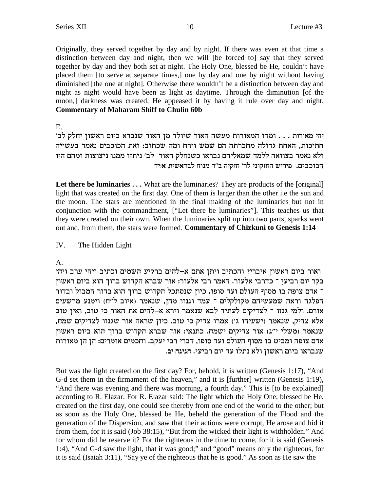Originally, they served together by day and by night. If there was even at that time a distinction between day and night, then we will [be forced to] say that they served together by day and they both set at night. The Holy One, blessed be He, couldn't have placed them [to serve at separate times,] one by day and one by night without having diminished [the one at night]. Otherwise there wouldn't be a distinction between day and night as night would have been as light as daytime. Through the diminution [of the moon,] darkness was created. He appeased it by having it rule over day and night. **Commentary of Maharam Shiff to Chulin 60b** 

### Е.

יהי מאורות . . . ומהו המאורות מעשה האור שיולד מן האור שנברא ביום ראשון יחלק לב' חתיכות, האחת גדולה מחברתה הם שמש וירח ומה שכתוב: ואת הכוכבים נאמר בעשייה ולא נאמר בצוואה ללמד שמאליהם נבראו כשנחלק האור לב׳ ניתזו ממנו ניצוצות ומהם היו הכוכבים. פירוש החזקוני לר׳ חזקיה ב״ר מנוח לבראשית אויד

Let there be luminaries  $\dots$  What are the luminaries? They are products of the [original] light that was created on the first day. One of them is larger than the other i.e the sun and the moon. The stars are mentioned in the final making of the luminaries but not in conjunction with the commandment, ["Let there be luminaries"]. This teaches us that they were created on their own. When the luminaries split up into two parts, sparks went out and, from them, the stars were formed. Commentary of Chizkuni to Genesis 1:14

#### IV. The Hidden Light

# A.

ואור ביום ראשון איברי? והכתיב ויתן אתם א-להים ברקיע השמים וכתיב ויהי ערב ויהי בקר יום רביעי ־ כדרבי אלעזר. דאמר רבי אלעזר: אור שברא הקדוש ברוך הוא ביום ראשון ־ אדם צופה בו מסוף העולם ועד סופו, כיון שנסתכל הקדוש ברוך הוא בדור המבול ובדור הפלגה וראה שמעשיהם מקולקלים ־ עמד וגנזו מהן, שנאמר (איוב ל"ח) וימנע מרשעים אורם. ולמי גנזו ־ לצדיקים לעתיד לבא שנאמר וירא א–להים את האור כי טוב, ואיז טוב אלא צדיק, שנאמר (ישעיהו ג') אמרו צדיק כי טוב. כיון שראה אור שגנזו לצדיקים שמח, שנאמר (משלי י"ג) אור צדיקים ישמח. כתנאי: אור שברא הקדוש ברוך הוא ביום ראשון אדם צופה ומביט בו מסוף העולם ועד סופו, דברי רבי יעקב. וחכמים אומרים: הן הן מאורות שנבראו ביום ראשון ולא נתלו עד יום רביעי. חגיגה יב.

But was the light created on the first day? For, behold, it is written (Genesis 1:17), "And G-d set them in the firmament of the heaven," and it is [further] written (Genesis 1:19), "And there was evening and there was morning, a fourth day." This is [to be explained] according to R. Elazar. For R. Elazar said: The light which the Holy One, blessed be He, created on the first day, one could see thereby from one end of the world to the other; but as soon as the Holy One, blessed be He, beheld the generation of the Flood and the generation of the Dispersion, and saw that their actions were corrupt. He arose and hid it from them, for it is said (Job 38:15), "But from the wicked their light is withholden." And for whom did he reserve it? For the righteous in the time to come, for it is said (Genesis 1:4), "And G-d saw the light, that it was good;" and "good" means only the righteous, for it is said (Isaiah 3:11), "Say ye of the righteous that he is good." As soon as He saw the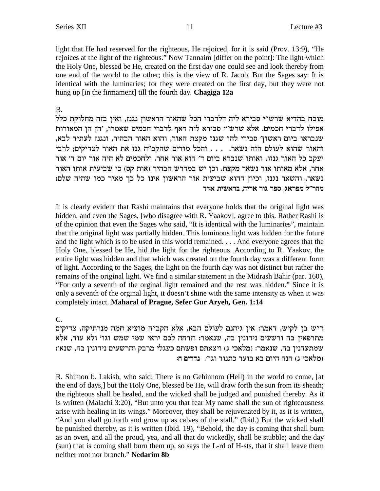light that He had reserved for the righteous, He rejoiced, for it is said (Prov. 13:9), "He rejoices at the light of the righteous." Now Tannaim [differ on the point]: The light which the Holy One, blessed be He, created on the first day one could see and look thereby from one end of the world to the other; this is the view of R. Jacob. But the Sages say: It is identical with the luminaries; for they were created on the first day, but they were not hung up [in the firmament] till the fourth day. Chagiga 12a

# **B.**

מוכח בהדיא שרש״י סבירא ליה דלדברי הכל שהאור הראשון נגנז, ואין בזה מחלוקת כלל אפילו לדברי חכמים. אלא שרש״י סבירא ליה דאף לדברי חכמים שאמרו, ׳הן הן המאורות שנבראו ביום ראשון׳ סבירי להו שגנז מקצת האור, והוא האור הבהיר, ונגנז לעתיד לבא, והאור שהוא לעולם הזה נשאר. . . . והכל מודים שהקב"ה גנז את האור לצדיקים; לרבי יעקב כל האור גנזו, ואותו שנברא ביום ד׳ הוא אור אחר. ולחכמים לא היה אור יום ד׳ אור אחר, אלא מאותו אור נשאר מקצת. וכן יש במדרש הבהיר (אות קס) כי שביעית אותו האור נשאר, והשאר נגנז, וכיון דהוא שביעית אור הראשון אינו כל כך מאיר כמו שהיה שלם: מהר״ל מפראג, ספר גור אריה, בראשית איד

It is clearly evident that Rashi maintains that everyone holds that the original light was hidden, and even the Sages, [who disagree with R. Yaakov], agree to this. Rather Rashi is of the opinion that even the Sages who said, "It is identical with the luminaries", maintain that the original light was partially hidden. This luminous light was hidden for the future and the light which is to be used in this world remained.... And everyone agrees that the Holy One, blessed be He, hid the light for the righteous. According to R. Yaakov, the entire light was hidden and that which was created on the fourth day was a different form of light. According to the Sages, the light on the fourth day was not distinct but rather the remains of the original light. We find a similar statement in the Midrash Bahir (par. 160), "For only a seventh of the orginal light remained and the rest was hidden." Since it is only a seventh of the orginal light, it doesn't shine with the same intensity as when it was completely intact. Maharal of Prague, Sefer Gur Aryeh, Gen. 1:14

# $\mathsf{C}$

ר"ש בן לקיש, דאמר: אין גיהנם לעולם הבא, אלא הקב"ה מוציא חמה מנרתיקה, צדיקים מתרפאין בה ורשעים נידונין בה, שנאמר: וזרחה לכם יראי שמי שמש וגו' ולא עוד, אלא שמתעדנין בה, שנאמר: (מלאכי ג) ויצאתם ופשתם כעגלי מרבק והרשעים נידונין בה, שנא׳: (מלאכי ג) הנה היום בא בוער כתנור וגו׳. נדרים ח:

R. Shimon b. Lakish, who said: There is no Gehinnom (Hell) in the world to come, [at the end of days,] but the Holy One, blessed be He, will draw forth the sun from its sheath; the righteous shall be healed, and the wicked shall be judged and punished thereby. As it is written (Malachi 3:20), "But unto you that fear My name shall the sun of righteousness arise with healing in its wings." Moreover, they shall be rejuvenated by it, as it is written, "And you shall go forth and grow up as calves of the stall." (Ibid.) But the wicked shall be punished thereby, as it is written (Ibid. 19), "Behold, the day is coming that shall burn as an oven, and all the proud, yea, and all that do wickedly, shall be stubble; and the day (sun) that is coming shall burn them up, so says the L-rd of H-sts, that it shall leave them neither root nor branch." Nedarim 8b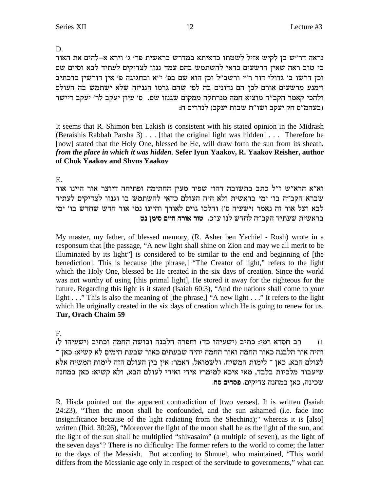# D.

נראה דר״ש בן לקיש אזיל לשטתו כדאיתא במדרש בראשית פר׳ ג׳ וירא א–להים את האור כי טוב ראה שאין הרשעים כדאי להשתמש בהם עמד גנזו לצדיקים לעתיד לבא וסיים שם וכן דרשו ב' גדולי דור ר"י ורשב"ל וכן הוא שם בפ' י"א ובחגיגה פ' אין דורשין כדכתיב וימנע מרשעים אורם לכן הם נדונים בה לפי שהם גרמו הגניזה שלא ישתמש בה העולם ולהכי קאמר הקב"ה מוציא חמה מנרתקה ממקום שגנזו שם. ס' עיון יעקב לר' יעקב ריישר :בעהמ"ס חק יעקב ושו"ת שבות יעקב) לנדרים ח

It seems that R. Shimon ben Lakish is consistent with his stated opinion in the Midrash (Beraishis Rabbah Parsha 3) . . . [that the original light was hidden] . . . Therefore he [now] stated that the Holy One, blessed be He, will draw forth the sun from its sheath, *from the place in which it was hidden*. **Sefer Iyun Yaakov, R. Yaakov Reisher, author of Chok Yaakov and Shvus Yaakov**

# E.

וא"א הרא"ש ז"ל כתב בתשובה דהוי שפיר מעין החתימה ופתיחה דיוצר אור היינו אור שברא הקב"ה בו' ימי בראשית ולא היה העולם כדאי להשתמש בו וגנזו לצדיקים לעתיד לבא ועל אור זה נאמר (ישעיה ס׳) והלכו גוים לאורך והיינו נמי אור חדש שחדש בו׳ ימי **hp oniq miig gxe` xeh** .k"r epl ycgl d"awd cizry ziy`xa

My master, my father, of blessed memory, (R. Asher ben Yechiel - Rosh) wrote in a responsum that [the passage, "A new light shall shine on Zion and may we all merit to be illuminated by its light"] is considered to be similar to the end and beginning of [the benediction]. This is because [the phrase,] "The Creator of light," refers to the light which the Holy One, blessed be He created in the six days of creation. Since the world was not worthy of using [this primal light], He stored it away for the righteous for the future. Regarding this light is it stated (Isaiah 60:3), "And the nations shall come to your light . . ." This is also the meaning of [the phrase,] "A new light . . ." It refers to the light which He originally created in the six days of creation which He is going to renew for us. **Tur, Orach Chaim 59**

# F.

(1 – רב חסדא רמי: כתיב (ישעיהו כד) וחפרה הלבנה ובושה החמה וכתיב (ישעיהו ל רהיה אור הלבנה כאור החמה ואור החמה יהיה שבעתים כאור שבעת הימים לא קשיא: כאן <sup>-</sup> לעולם הבא, כאן ־ לימות המשיח. ולשמואל, דאמר: אין בין העולם הזה לימות המשיח אלא שיעבוד מלכיות בלבד, מאי איכא למימר? אידי ואידי לעולם הבא, ולא קשיא: כאן במחנה שכינה, כאן במחנה צדיקים. פסחים סח.

R. Hisda pointed out the apparent contradiction of [two verses]. It is written (Isaiah 24:23), "Then the moon shall be confounded, and the sun ashamed (i.e. fade into insignificance because of the light radiating from the Shechina);" whereas it is [also] written (Ibid. 30:26), "Moreover the light of the moon shall be as the light of the sun, and the light of the sun shall be multiplied "shivasaim" (a multiple of seven), as the light of the seven days"? There is no difficulty: The former refers to the world to come; the latter to the days of the Messiah. But according to Shmuel, who maintained, "This world differs from the Messianic age only in respect of the servitude to governments," what can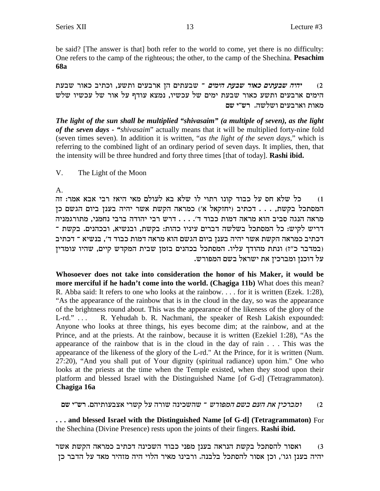be said? [The answer is that] both refer to the world to come, yet there is no difficulty: One refers to the camp of the righteous; the other, to the camp of the Shechina. Pesachim **68a** 

יהיה שבעתים כאור שבעת הימים ־ שבעתים הן ארבעים ותשע, וכתיב כאור שבעת  $(2)$ הימים ארבעים ותשע כאור שבעת ימים של עכשיו, נמצא עודף על אור של עכשיו שלש מאות וארבעים ושלשה. רש״י שם

The light of the sun shall be multiplied "shivasaim" (a multiple of seven), as the light of the seven days - "shivasaim" actually means that it will be multiplied forty-nine fold (seven times seven). In addition it is written, "as the light of the seven days," which is referring to the combined light of an ordinary period of seven days. It implies, then, that the intensity will be three hundred and forty three times [that of today]. Rashi ibid.

V. The Light of the Moon

 $A_{\cdot}$ 

כל שלא חס על כבוד קונו רתוי לו שלא בא לעולם מאי היא? רבי אבא אמר: זה  $(1)$ המסתכל בקשת, . . . דכתיב (יחזקאל א׳) כמראה הקשת אשר יהיה בענן ביום הגשם כן מראה הנגה סביב הוא מראה דמות כבוד ד'. . . . דרש רבי יהודה ברבי נחמני, מתורגמניה דריש לקיש: כל המסתכל בשלשה דברים עיניו כהות: בקשת, ובנשיא, ובכהנים. בקשת ־ דכתיב כמראה הקשת אשר יהיה בענן ביום הגשם הוא מראה דמות כבוד ד׳, בנשיא ־ דכתיב (במדבר כ"ז) ונתת מהודך עליו. המסתכל בכהנים בזמן שבית המקדש קיים, שהיו עומדין על דוכנן ומברכין את ישראל בשם המפורש.

Whosoever does not take into consideration the honor of his Maker, it would be more merciful if he hadn't come into the world. (Chagiga 11b) What does this mean? R. Abba said: It refers to one who looks at the rainbow.... for it is written (Ezek. 1:28), "As the appearance of the rainbow that is in the cloud in the day, so was the appearance of the brightness round about. This was the appearance of the likeness of the glory of the R. Yehudah b. R. Nachmani, the speaker of Resh Lakish expounded:  $L$ -rd."  $\ldots$ Anyone who looks at three things, his eyes become dim; at the rainbow, and at the Prince, and at the priests. At the rainbow, because it is written (Ezekiel 1:28), "As the appearance of the rainbow that is in the cloud in the day of rain . . . This was the appearance of the likeness of the glory of the L-rd." At the Prince, for it is written (Num. 27:20), "And you shall put of Your dignity (spiritual radiance) upon him." One who looks at the priests at the time when the Temple existed, when they stood upon their platform and blessed Israel with the Distinguished Name [of G-d] (Tetragrammaton). Chagiga 16a

*ומברכין את העם בשם המפורש* ־ שהשכינה שורה על קשרי אצבעותיהם. רש"י שם  $(2)$ 

... and blessed Israel with the Distinguished Name [of G-d] (Tetragrammaton) For the Shechina (Divine Presence) rests upon the joints of their fingers. Rashi ibid.

ואסור להסתכל בקשת הנראה בענן מפני כבוד השכינה דכתיב כמראה הקשת אשר  $(3)$ יהיה בענן וגו׳, וכן אסור להסתכל בלבנה. ורבינו מאיר הלוי היה מזהיר מאד על הדבר כן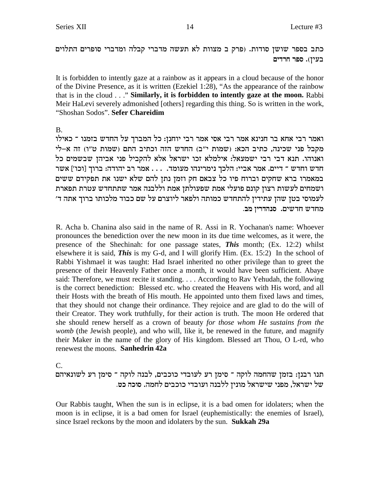כתב בספר שושן סודות. (פרק ב מצוות לא תעשה מדברי קבלה ומדברי סופרים התלוים בעין). ספר חרדים

It is forbidden to intently gaze at a rainbow as it appears in a cloud because of the honor of the Divine Presence, as it is written (Ezekiel 1:28), "As the appearance of the rainbow that is in the cloud . . ." Similarly, it is forbidden to intently gaze at the moon. Rabbi Meir HaLevi severely admonished [others] regarding this thing. So is written in the work, "Shoshan Sodos". Sefer Chareidim

**B.** 

ואמר רבי אחא בר חנינא אמר רבי אסי אמר רבי יוחנן: כל המברך על החדש בזמנו ־ כאילו מקבל פני שכינה, כתיב הכא: (שמות י"ב) החדש הזה וכתיב התם (שמות ט"ו) זה א-לי ואנוהו. תנא דבי רבי ישמעאל: אילמלא זכו ישראל אלא להקביל פני אביהן שבשמים כל חדש וחדש ־ דיים. אמר אביי: הלכך נימרינהו מעומד. . . . אמר רב יהודה: ברוך [וכו'] אשר במאמרו ברא שחקים וברוח פיו כל צבאם חק וזמן נתן להם שלא ישנו את תפקידם ששים ושמחים לעשות רצון קונם פועלי אמת שפעולתן אמת וללבנה אמר שתתחדש עטרת תפארת לעמוסי בטז שהז עתידיז להתחדש כמותה ולפאר ליוצרם על שם כבוד מלכותו ברוך אתה ד׳ מחדש חדשים. סנהדרין מב.

R. Acha b. Chanina also said in the name of R. Assi in R. Yochanan's name: Whoever pronounces the benediction over the new moon in its due time welcomes, as it were, the presence of the Shechinah: for one passage states, *This* month; (Ex. 12:2) whilst elsewhere it is said, **This** is my G-d, and I will glorify Him.  $(Ex. 15:2)$  In the school of Rabbi Yishmael it was taught: Had Israel inherited no other privilege than to greet the presence of their Heavenly Father once a month, it would have been sufficient. Abaye said: Therefore, we must recite it standing.... According to Rav Yehudah, the following is the correct benediction: Blessed etc. who created the Heavens with His word, and all their Hosts with the breath of His mouth. He appointed unto them fixed laws and times, that they should not change their ordinance. They rejoice and are glad to do the will of their Creator. They work truthfully, for their action is truth. The moon He ordered that she should renew herself as a crown of beauty for those whom He sustains from the womb (the Jewish people), and who will, like it, be renewed in the future, and magnify their Maker in the name of the glory of His kingdom. Blessed art Thou, O L-rd, who renewest the moons. Sanhedrin 42a

 $C_{\cdot}$ 

תנו רבנן: בזמן שהחמה לוקה ־ סימן רע לעובדי כוכבים, לבנה לוקה ־ סימן רע לשונאיהם של ישראל, מפני שישראל מונין ללבנה ועובדי כוכבים לחמה. סוכה כט.

Our Rabbis taught, When the sun is in eclipse, it is a bad omen for idolaters; when the moon is in eclipse, it is a bad omen for Israel (euphemistically: the enemies of Israel), since Israel reckons by the moon and idolaters by the sun. Sukkah 29a